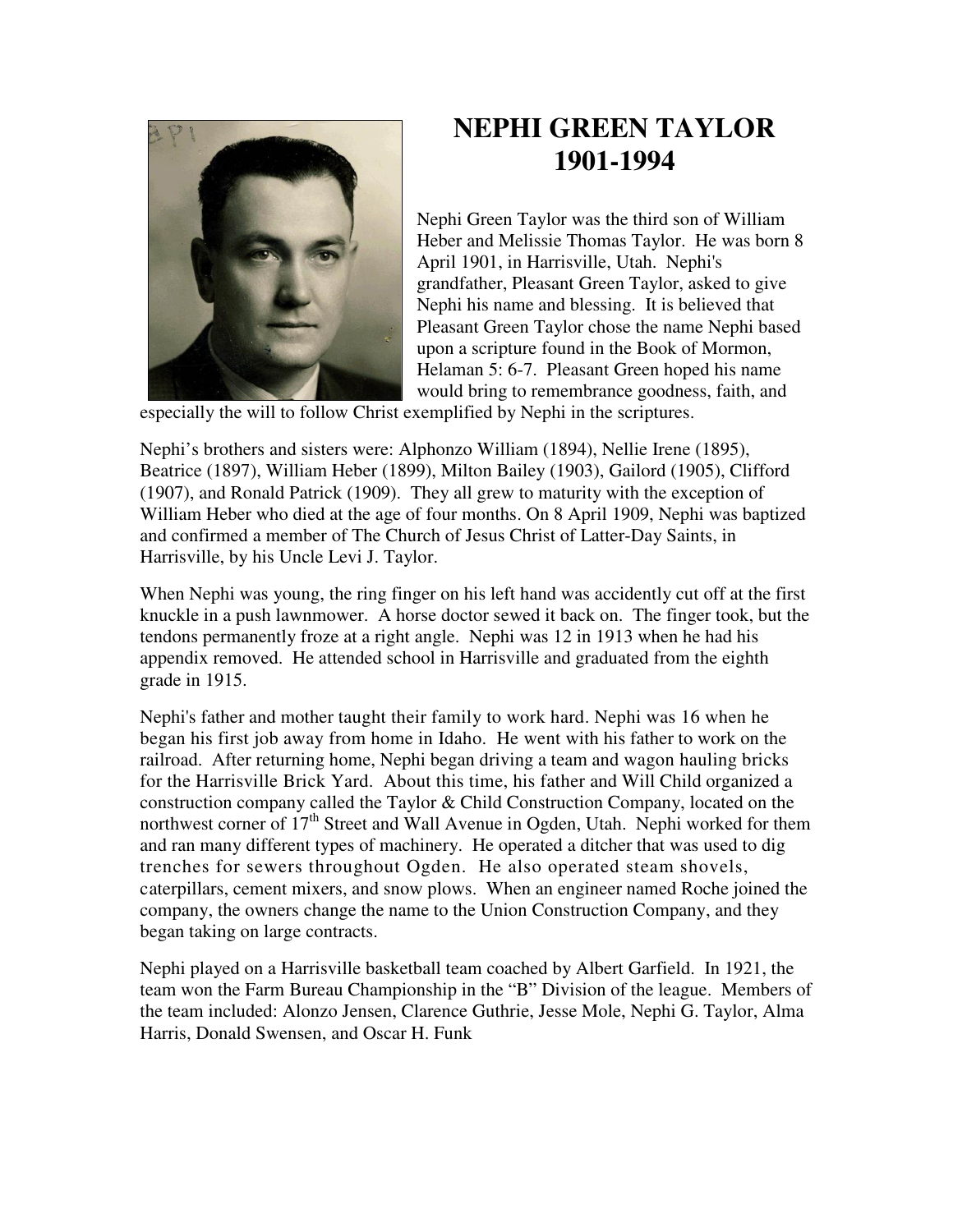

## **NEPHI GREEN TAYLOR 1901-1994**

Nephi Green Taylor was the third son of William Heber and Melissie Thomas Taylor. He was born 8 April 1901, in Harrisville, Utah. Nephi's grandfather, Pleasant Green Taylor, asked to give Nephi his name and blessing. It is believed that Pleasant Green Taylor chose the name Nephi based upon a scripture found in the Book of Mormon, Helaman 5: 6-7. Pleasant Green hoped his name would bring to remembrance goodness, faith, and

especially the will to follow Christ exemplified by Nephi in the scriptures.

Nephi's brothers and sisters were: Alphonzo William (1894), Nellie Irene (1895), Beatrice (1897), William Heber (1899), Milton Bailey (1903), Gailord (1905), Clifford (1907), and Ronald Patrick (1909). They all grew to maturity with the exception of William Heber who died at the age of four months. On 8 April 1909, Nephi was baptized and confirmed a member of The Church of Jesus Christ of Latter-Day Saints, in Harrisville, by his Uncle Levi J. Taylor.

When Nephi was young, the ring finger on his left hand was accidently cut off at the first knuckle in a push lawnmower. A horse doctor sewed it back on. The finger took, but the tendons permanently froze at a right angle. Nephi was 12 in 1913 when he had his appendix removed. He attended school in Harrisville and graduated from the eighth grade in 1915.

Nephi's father and mother taught their family to work hard. Nephi was 16 when he began his first job away from home in Idaho. He went with his father to work on the railroad. After returning home, Nephi began driving a team and wagon hauling bricks for the Harrisville Brick Yard. About this time, his father and Will Child organized a construction company called the Taylor & Child Construction Company, located on the northwest corner of  $17<sup>th</sup>$  Street and Wall Avenue in Ogden, Utah. Nephi worked for them and ran many different types of machinery. He operated a ditcher that was used to dig trenches for sewers throughout Ogden. He also operated steam shovels, caterpillars, cement mixers, and snow plows. When an engineer named Roche joined the company, the owners change the name to the Union Construction Company, and they began taking on large contracts.

Nephi played on a Harrisville basketball team coached by Albert Garfield. In 1921, the team won the Farm Bureau Championship in the "B" Division of the league. Members of the team included: Alonzo Jensen, Clarence Guthrie, Jesse Mole, Nephi G. Taylor, Alma Harris, Donald Swensen, and Oscar H. Funk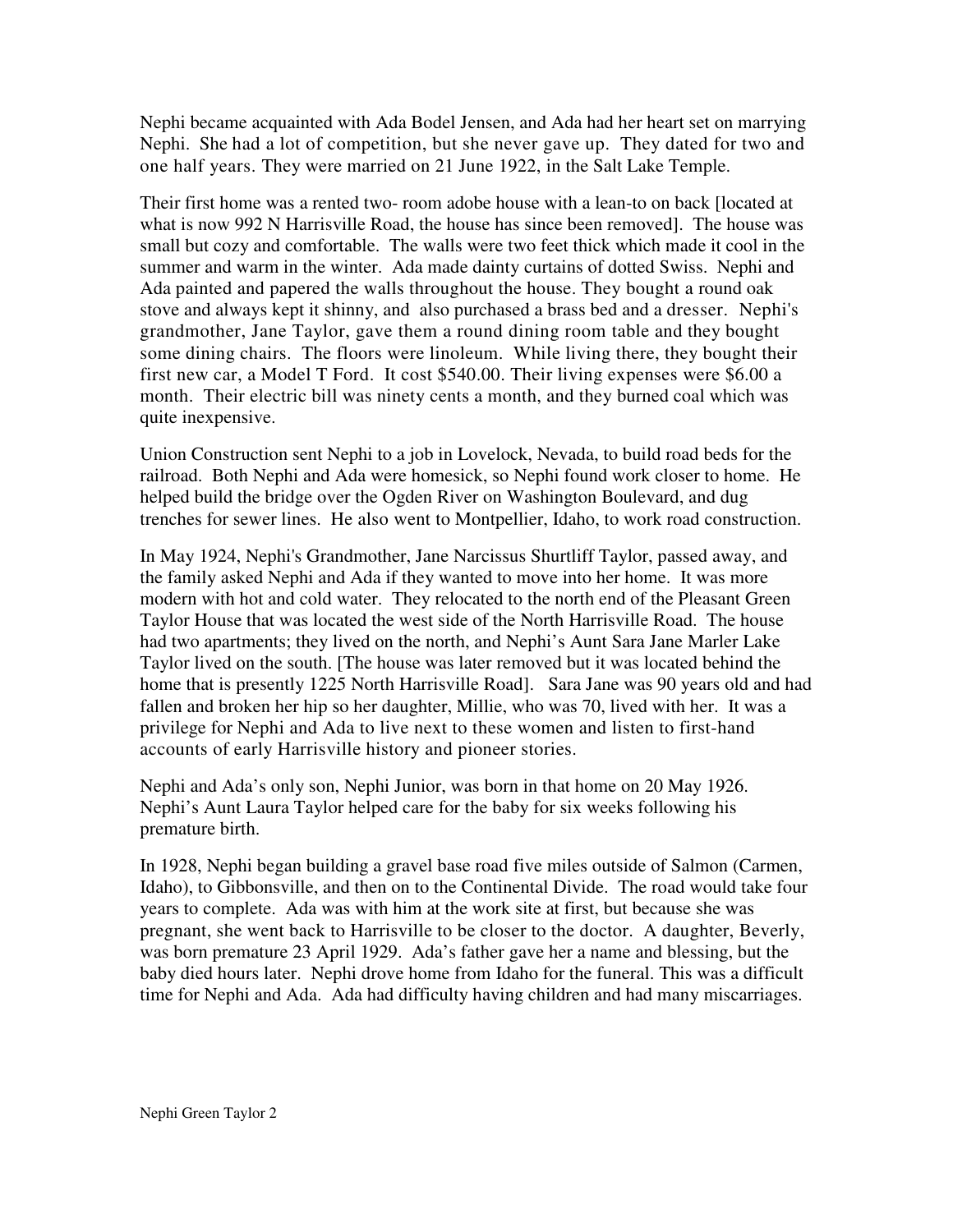Nephi became acquainted with Ada Bodel Jensen, and Ada had her heart set on marrying Nephi. She had a lot of competition, but she never gave up. They dated for two and one half years. They were married on 21 June 1922, in the Salt Lake Temple.

Their first home was a rented two- room adobe house with a lean-to on back [located at what is now 992 N Harrisville Road, the house has since been removed]. The house was small but cozy and comfortable. The walls were two feet thick which made it cool in the summer and warm in the winter. Ada made dainty curtains of dotted Swiss. Nephi and Ada painted and papered the walls throughout the house. They bought a round oak stove and always kept it shinny, and also purchased a brass bed and a dresser. Nephi's grandmother, Jane Taylor, gave them a round dining room table and they bought some dining chairs. The floors were linoleum. While living there, they bought their first new car, a Model T Ford. It cost \$540.00. Their living expenses were \$6.00 a month. Their electric bill was ninety cents a month, and they burned coal which was quite inexpensive.

Union Construction sent Nephi to a job in Lovelock, Nevada, to build road beds for the railroad. Both Nephi and Ada were homesick, so Nephi found work closer to home. He helped build the bridge over the Ogden River on Washington Boulevard, and dug trenches for sewer lines. He also went to Montpellier, Idaho, to work road construction.

In May 1924, Nephi's Grandmother, Jane Narcissus Shurtliff Taylor, passed away, and the family asked Nephi and Ada if they wanted to move into her home. It was more modern with hot and cold water. They relocated to the north end of the Pleasant Green Taylor House that was located the west side of the North Harrisville Road. The house had two apartments; they lived on the north, and Nephi's Aunt Sara Jane Marler Lake Taylor lived on the south. [The house was later removed but it was located behind the home that is presently 1225 North Harrisville Road]. Sara Jane was 90 years old and had fallen and broken her hip so her daughter, Millie, who was 70, lived with her. It was a privilege for Nephi and Ada to live next to these women and listen to first-hand accounts of early Harrisville history and pioneer stories.

Nephi and Ada's only son, Nephi Junior, was born in that home on 20 May 1926. Nephi's Aunt Laura Taylor helped care for the baby for six weeks following his premature birth.

In 1928, Nephi began building a gravel base road five miles outside of Salmon (Carmen, Idaho), to Gibbonsville, and then on to the Continental Divide. The road would take four years to complete. Ada was with him at the work site at first, but because she was pregnant, she went back to Harrisville to be closer to the doctor. A daughter, Beverly, was born premature 23 April 1929. Ada's father gave her a name and blessing, but the baby died hours later. Nephi drove home from Idaho for the funeral. This was a difficult time for Nephi and Ada. Ada had difficulty having children and had many miscarriages.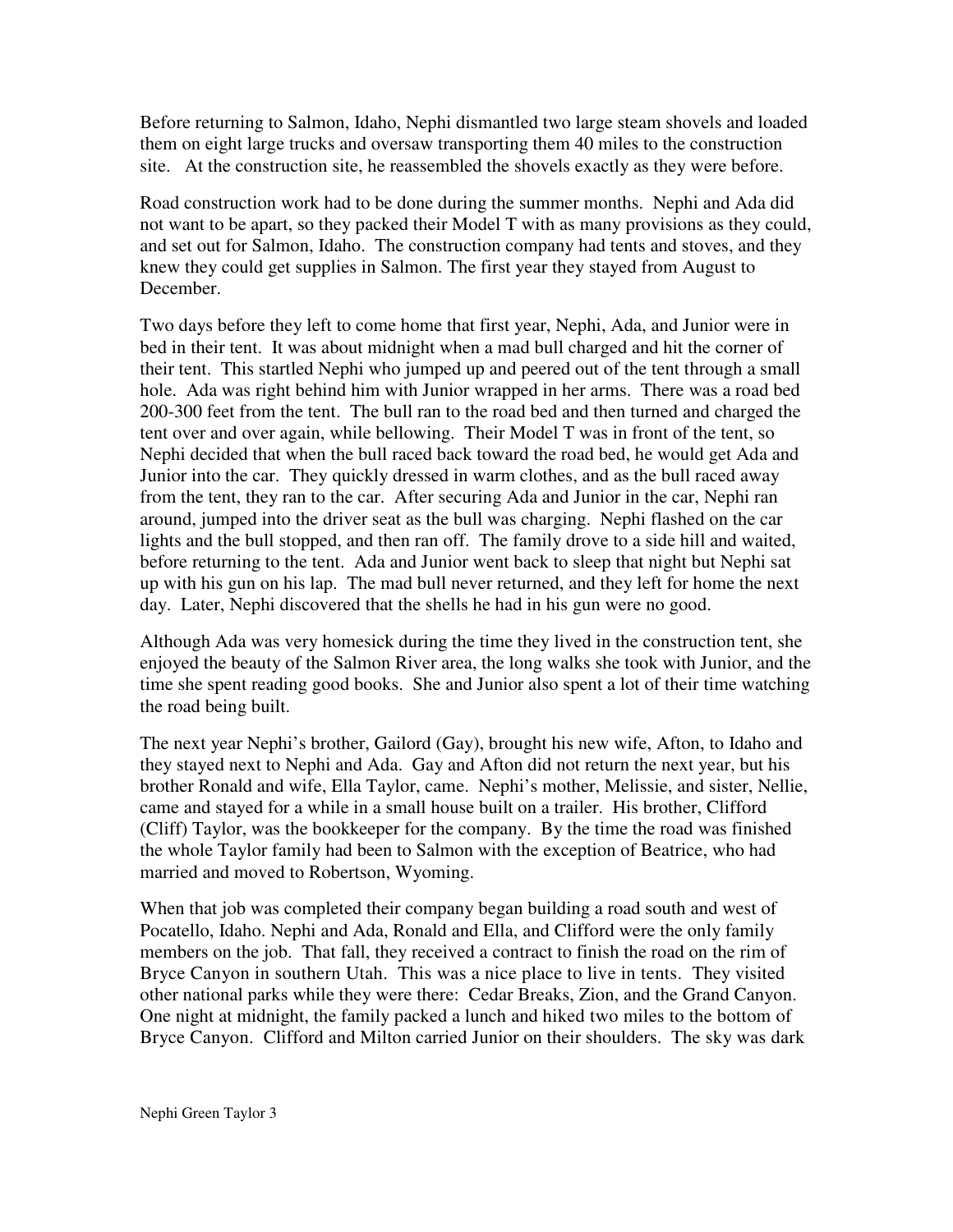Before returning to Salmon, Idaho, Nephi dismantled two large steam shovels and loaded them on eight large trucks and oversaw transporting them 40 miles to the construction site. At the construction site, he reassembled the shovels exactly as they were before.

Road construction work had to be done during the summer months. Nephi and Ada did not want to be apart, so they packed their Model T with as many provisions as they could, and set out for Salmon, Idaho. The construction company had tents and stoves, and they knew they could get supplies in Salmon. The first year they stayed from August to December.

Two days before they left to come home that first year, Nephi, Ada, and Junior were in bed in their tent. It was about midnight when a mad bull charged and hit the corner of their tent. This startled Nephi who jumped up and peered out of the tent through a small hole. Ada was right behind him with Junior wrapped in her arms. There was a road bed 200-300 feet from the tent. The bull ran to the road bed and then turned and charged the tent over and over again, while bellowing. Their Model T was in front of the tent, so Nephi decided that when the bull raced back toward the road bed, he would get Ada and Junior into the car. They quickly dressed in warm clothes, and as the bull raced away from the tent, they ran to the car. After securing Ada and Junior in the car, Nephi ran around, jumped into the driver seat as the bull was charging. Nephi flashed on the car lights and the bull stopped, and then ran off. The family drove to a side hill and waited, before returning to the tent. Ada and Junior went back to sleep that night but Nephi sat up with his gun on his lap. The mad bull never returned, and they left for home the next day. Later, Nephi discovered that the shells he had in his gun were no good.

Although Ada was very homesick during the time they lived in the construction tent, she enjoyed the beauty of the Salmon River area, the long walks she took with Junior, and the time she spent reading good books. She and Junior also spent a lot of their time watching the road being built.

The next year Nephi's brother, Gailord (Gay), brought his new wife, Afton, to Idaho and they stayed next to Nephi and Ada. Gay and Afton did not return the next year, but his brother Ronald and wife, Ella Taylor, came. Nephi's mother, Melissie, and sister, Nellie, came and stayed for a while in a small house built on a trailer. His brother, Clifford (Cliff) Taylor, was the bookkeeper for the company. By the time the road was finished the whole Taylor family had been to Salmon with the exception of Beatrice, who had married and moved to Robertson, Wyoming.

When that job was completed their company began building a road south and west of Pocatello, Idaho. Nephi and Ada, Ronald and Ella, and Clifford were the only family members on the job. That fall, they received a contract to finish the road on the rim of Bryce Canyon in southern Utah. This was a nice place to live in tents. They visited other national parks while they were there: Cedar Breaks, Zion, and the Grand Canyon. One night at midnight, the family packed a lunch and hiked two miles to the bottom of Bryce Canyon. Clifford and Milton carried Junior on their shoulders. The sky was dark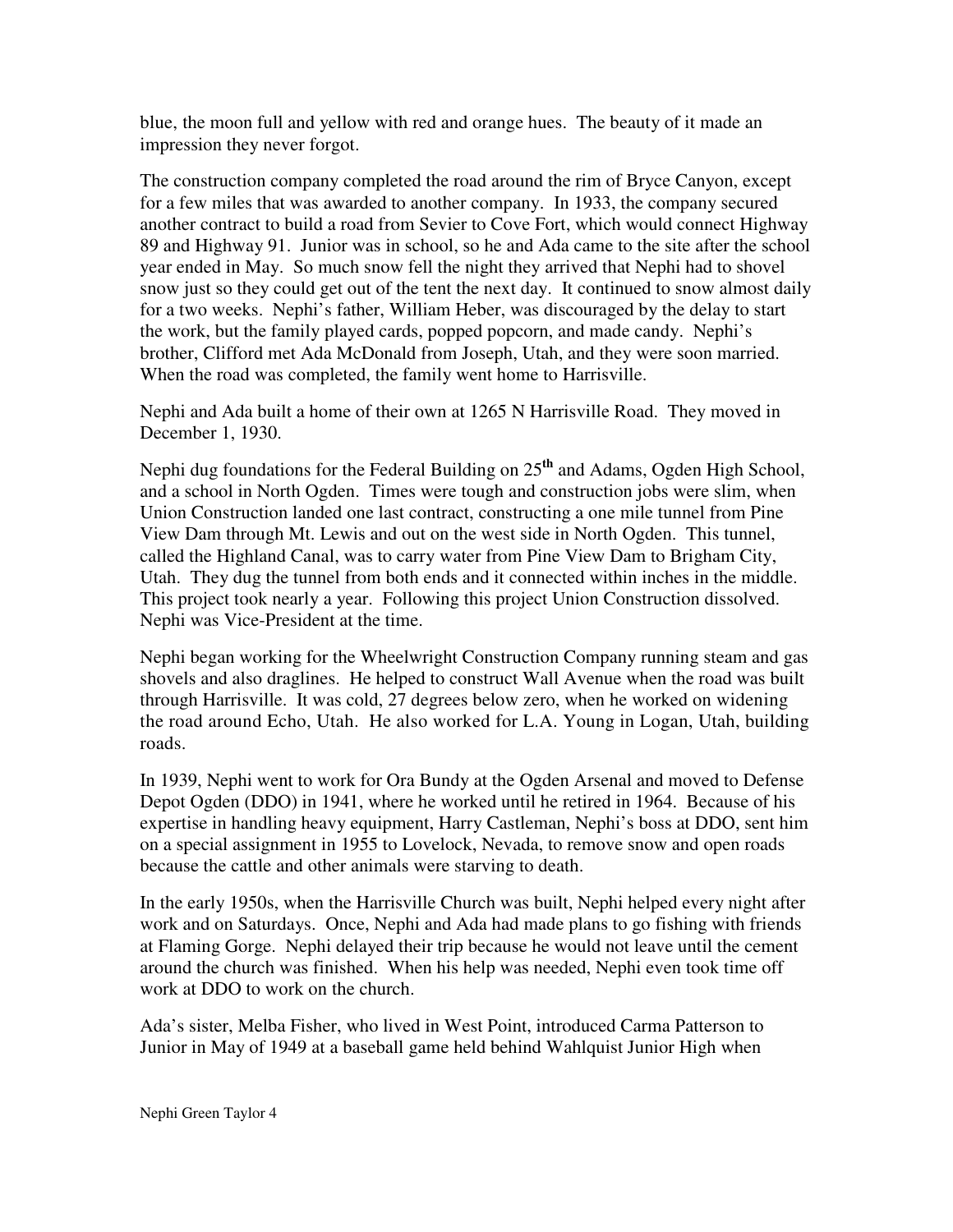blue, the moon full and yellow with red and orange hues. The beauty of it made an impression they never forgot.

The construction company completed the road around the rim of Bryce Canyon, except for a few miles that was awarded to another company. In 1933, the company secured another contract to build a road from Sevier to Cove Fort, which would connect Highway 89 and Highway 91. Junior was in school, so he and Ada came to the site after the school year ended in May. So much snow fell the night they arrived that Nephi had to shovel snow just so they could get out of the tent the next day. It continued to snow almost daily for a two weeks. Nephi's father, William Heber, was discouraged by the delay to start the work, but the family played cards, popped popcorn, and made candy. Nephi's brother, Clifford met Ada McDonald from Joseph, Utah, and they were soon married. When the road was completed, the family went home to Harrisville.

Nephi and Ada built a home of their own at 1265 N Harrisville Road. They moved in December 1, 1930.

Nephi dug foundations for the Federal Building on 25 **th** and Adams, Ogden High School, and a school in North Ogden. Times were tough and construction jobs were slim, when Union Construction landed one last contract, constructing a one mile tunnel from Pine View Dam through Mt. Lewis and out on the west side in North Ogden. This tunnel, called the Highland Canal, was to carry water from Pine View Dam to Brigham City, Utah. They dug the tunnel from both ends and it connected within inches in the middle. This project took nearly a year. Following this project Union Construction dissolved. Nephi was Vice-President at the time.

Nephi began working for the Wheelwright Construction Company running steam and gas shovels and also draglines. He helped to construct Wall Avenue when the road was built through Harrisville. It was cold, 27 degrees below zero, when he worked on widening the road around Echo, Utah. He also worked for L.A. Young in Logan, Utah, building roads.

In 1939, Nephi went to work for Ora Bundy at the Ogden Arsenal and moved to Defense Depot Ogden (DDO) in 1941, where he worked until he retired in 1964. Because of his expertise in handling heavy equipment, Harry Castleman, Nephi's boss at DDO, sent him on a special assignment in 1955 to Lovelock, Nevada, to remove snow and open roads because the cattle and other animals were starving to death.

In the early 1950s, when the Harrisville Church was built, Nephi helped every night after work and on Saturdays. Once, Nephi and Ada had made plans to go fishing with friends at Flaming Gorge. Nephi delayed their trip because he would not leave until the cement around the church was finished. When his help was needed, Nephi even took time off work at DDO to work on the church.

Ada's sister, Melba Fisher, who lived in West Point, introduced Carma Patterson to Junior in May of 1949 at a baseball game held behind Wahlquist Junior High when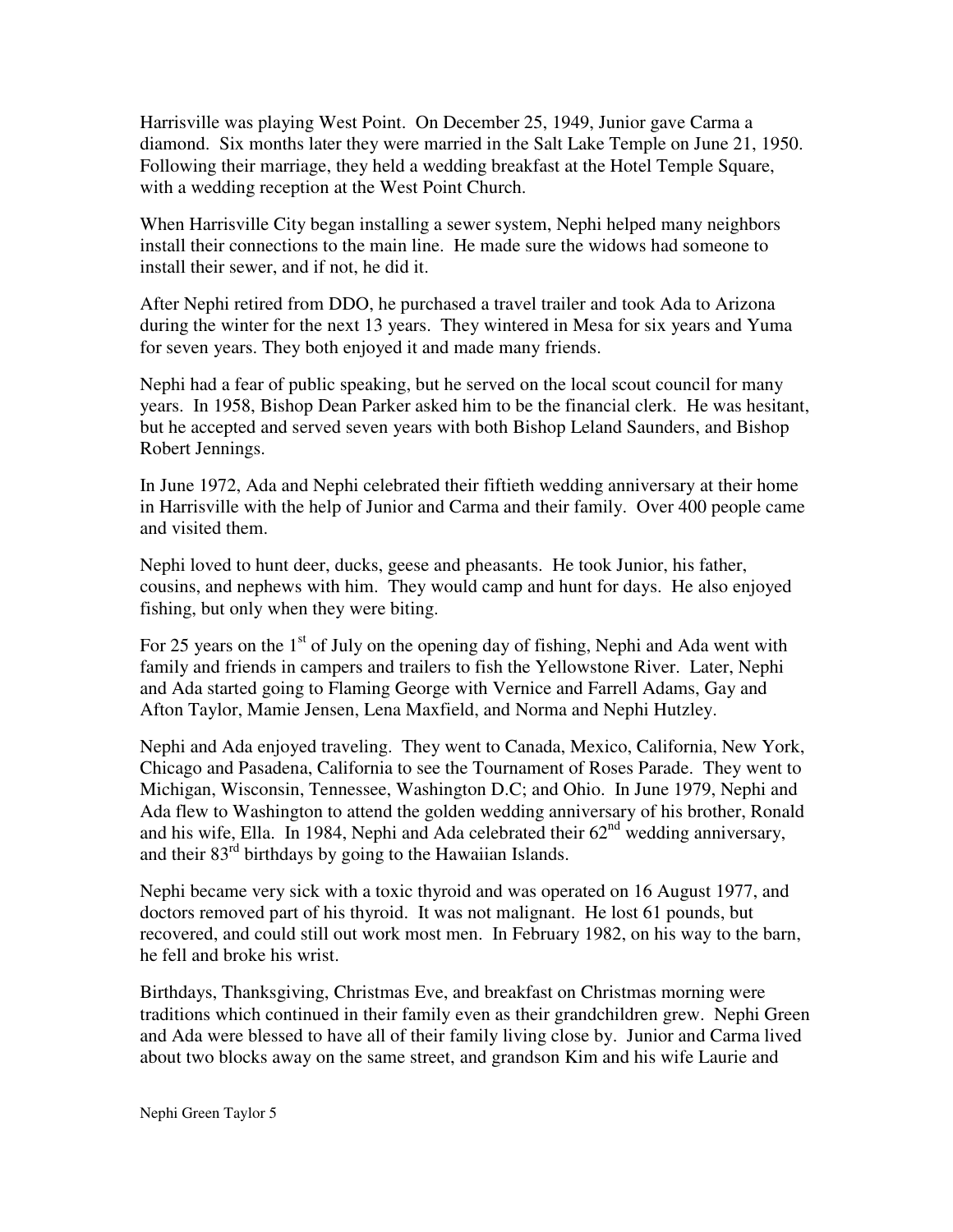Harrisville was playing West Point. On December 25, 1949, Junior gave Carma a diamond. Six months later they were married in the Salt Lake Temple on June 21, 1950. Following their marriage, they held a wedding breakfast at the Hotel Temple Square, with a wedding reception at the West Point Church.

When Harrisville City began installing a sewer system, Nephi helped many neighbors install their connections to the main line. He made sure the widows had someone to install their sewer, and if not, he did it.

After Nephi retired from DDO, he purchased a travel trailer and took Ada to Arizona during the winter for the next 13 years. They wintered in Mesa for six years and Yuma for seven years. They both enjoyed it and made many friends.

Nephi had a fear of public speaking, but he served on the local scout council for many years. In 1958, Bishop Dean Parker asked him to be the financial clerk. He was hesitant, but he accepted and served seven years with both Bishop Leland Saunders, and Bishop Robert Jennings.

In June 1972, Ada and Nephi celebrated their fiftieth wedding anniversary at their home in Harrisville with the help of Junior and Carma and their family. Over 400 people came and visited them.

Nephi loved to hunt deer, ducks, geese and pheasants. He took Junior, his father, cousins, and nephews with him. They would camp and hunt for days. He also enjoyed fishing, but only when they were biting.

For 25 years on the  $1<sup>st</sup>$  of July on the opening day of fishing, Nephi and Ada went with family and friends in campers and trailers to fish the Yellowstone River. Later, Nephi and Ada started going to Flaming George with Vernice and Farrell Adams, Gay and Afton Taylor, Mamie Jensen, Lena Maxfield, and Norma and Nephi Hutzley.

Nephi and Ada enjoyed traveling. They went to Canada, Mexico, California, New York, Chicago and Pasadena, California to see the Tournament of Roses Parade. They went to Michigan, Wisconsin, Tennessee, Washington D.C; and Ohio. In June 1979, Nephi and Ada flew to Washington to attend the golden wedding anniversary of his brother, Ronald and his wife, Ella. In 1984, Nephi and Ada celebrated their  $62<sup>nd</sup>$  wedding anniversary, and their 83<sup>rd</sup> birthdays by going to the Hawaiian Islands.

Nephi became very sick with a toxic thyroid and was operated on 16 August 1977, and doctors removed part of his thyroid. It was not malignant. He lost 61 pounds, but recovered, and could still out work most men. In February 1982, on his way to the barn, he fell and broke his wrist.

Birthdays, Thanksgiving, Christmas Eve, and breakfast on Christmas morning were traditions which continued in their family even as their grandchildren grew. Nephi Green and Ada were blessed to have all of their family living close by. Junior and Carma lived about two blocks away on the same street, and grandson Kim and his wife Laurie and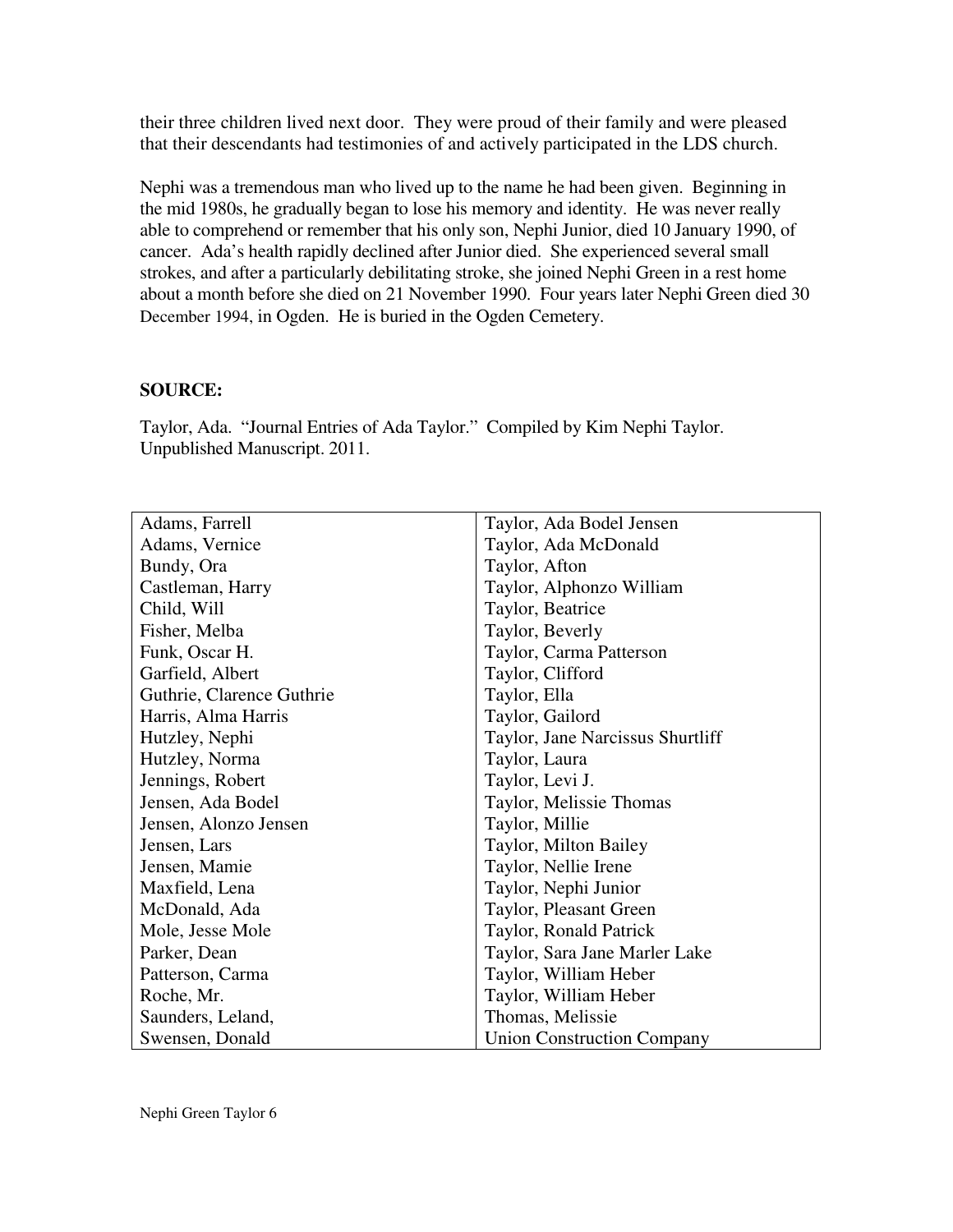their three children lived next door. They were proud of their family and were pleased that their descendants had testimonies of and actively participated in the LDS church.

Nephi was a tremendous man who lived up to the name he had been given. Beginning in the mid 1980s, he gradually began to lose his memory and identity. He was never really able to comprehend or remember that his only son, Nephi Junior, died 10 January 1990, of cancer. Ada's health rapidly declined after Junior died. She experienced several small strokes, and after a particularly debilitating stroke, she joined Nephi Green in a rest home about a month before she died on 21 November 1990. Four years later Nephi Green died 30 December 1994, in Ogden. He is buried in the Ogden Cemetery.

## **SOURCE:**

Taylor, Ada. "Journal Entries of Ada Taylor." Compiled by Kim Nephi Taylor. Unpublished Manuscript. 2011.

| Adams, Farrell            | Taylor, Ada Bodel Jensen          |
|---------------------------|-----------------------------------|
| Adams, Vernice            | Taylor, Ada McDonald              |
| Bundy, Ora                | Taylor, Afton                     |
| Castleman, Harry          | Taylor, Alphonzo William          |
| Child, Will               | Taylor, Beatrice                  |
| Fisher, Melba             | Taylor, Beverly                   |
| Funk, Oscar H.            | Taylor, Carma Patterson           |
| Garfield, Albert          | Taylor, Clifford                  |
| Guthrie, Clarence Guthrie | Taylor, Ella                      |
| Harris, Alma Harris       | Taylor, Gailord                   |
| Hutzley, Nephi            | Taylor, Jane Narcissus Shurtliff  |
| Hutzley, Norma            | Taylor, Laura                     |
| Jennings, Robert          | Taylor, Levi J.                   |
| Jensen, Ada Bodel         | Taylor, Melissie Thomas           |
| Jensen, Alonzo Jensen     | Taylor, Millie                    |
| Jensen, Lars              | Taylor, Milton Bailey             |
| Jensen, Mamie             | Taylor, Nellie Irene              |
| Maxfield, Lena            | Taylor, Nephi Junior              |
| McDonald, Ada             | Taylor, Pleasant Green            |
| Mole, Jesse Mole          | Taylor, Ronald Patrick            |
| Parker, Dean              | Taylor, Sara Jane Marler Lake     |
| Patterson, Carma          | Taylor, William Heber             |
| Roche, Mr.                | Taylor, William Heber             |
| Saunders, Leland,         | Thomas, Melissie                  |
| Swensen, Donald           | <b>Union Construction Company</b> |

Nephi Green Taylor 6